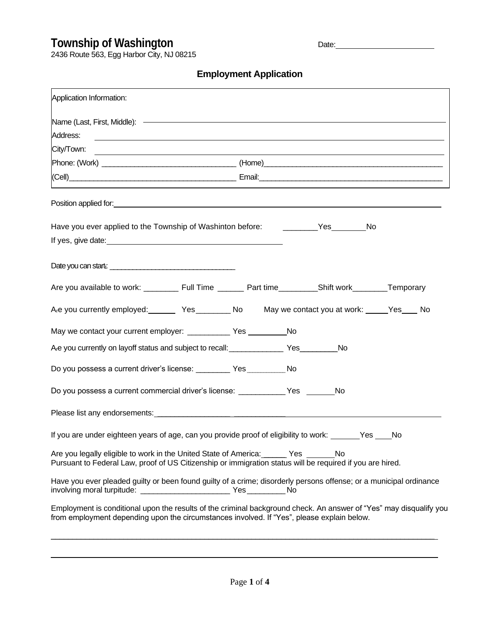## **Township of Washington All Device Date:** Date:

2436 Route 563, Egg Harbor City, NJ 08215

## **Employment Application**

| Application Information:                                                                                                                                                                                                             |  |    |
|--------------------------------------------------------------------------------------------------------------------------------------------------------------------------------------------------------------------------------------|--|----|
|                                                                                                                                                                                                                                      |  |    |
| Address:<br>,我们也不会有什么。""我们的人,我们也不会有什么?""我们的人,我们也不会有什么?""我们的人,我们也不会有什么?""我们的人,我们也不会有什么?""我们的人                                                                                                                                         |  |    |
| City/Town:<br><u> 1989 - Johann Stoff, amerikansk politiker (d. 1989)</u>                                                                                                                                                            |  |    |
|                                                                                                                                                                                                                                      |  |    |
|                                                                                                                                                                                                                                      |  |    |
| Position applied for: <b>contract to the contract of the contract of the contract of the contract of the contract of the contract of the contract of the contract of the contract of the contract of the contract of the contrac</b> |  |    |
| Have you ever applied to the Township of Washinton before: _________Yes________No                                                                                                                                                    |  |    |
|                                                                                                                                                                                                                                      |  |    |
|                                                                                                                                                                                                                                      |  |    |
| Are you currently employed: Yes _________ No May we contact you at work: _____Yes ____ No                                                                                                                                            |  |    |
| May we contact your current employer: ______________ Yes ___________ No                                                                                                                                                              |  |    |
| A <sub>r</sub> e you currently on layoff status and subject to recall: ___________________Yes____________No                                                                                                                          |  |    |
| Do you possess a current driver's license: ___________ Yes ___________ No                                                                                                                                                            |  |    |
| Do you possess a current commercial driver's license: ___________Yes ______No                                                                                                                                                        |  |    |
|                                                                                                                                                                                                                                      |  |    |
| If you are under eighteen years of age, can you provide proof of eligibility to work: ______Yes ___                                                                                                                                  |  | No |
| Are you legally eligible to work in the United State of America: ______ Yes No<br>Pursuant to Federal Law, proof of US Citizenship or immigration status will be required if you are hired.                                          |  |    |
| Have you ever pleaded guilty or been found guilty of a crime; disorderly persons offense; or a municipal ordinance                                                                                                                   |  |    |
| Employment is conditional upon the results of the criminal background check. An answer of "Yes" may disqualify you<br>from employment depending upon the circumstances involved. If "Yes", please explain below.                     |  |    |

 $\_$  , and the set of the set of the set of the set of the set of the set of the set of the set of the set of the set of the set of the set of the set of the set of the set of the set of the set of the set of the set of th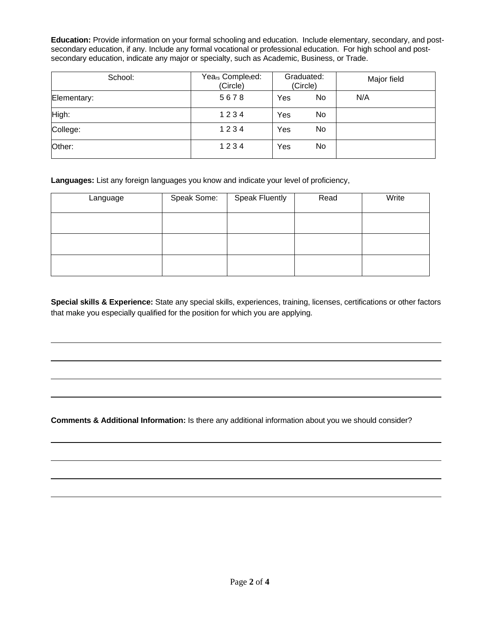**Education:** Provide information on your formal schooling and education. Include elementary, secondary, and postsecondary education, if any. Include any formal vocational or professional education. For high school and postsecondary education, indicate any major or specialty, such as Academic, Business, or Trade.

| School:     | Years Completed:<br>(Circle) | Graduated:<br>(Circle) | Major field |
|-------------|------------------------------|------------------------|-------------|
| Elementary: | 5678                         | No<br>Yes              | N/A         |
| High:       | 1234                         | No<br>Yes              |             |
| College:    | 1234                         | No<br>Yes              |             |
| Other:      | 1234                         | No<br>Yes              |             |

Languages: List any foreign languages you know and indicate your level of proficiency,

| Language | Speak Some: | <b>Speak Fluently</b> | Read | Write |
|----------|-------------|-----------------------|------|-------|
|          |             |                       |      |       |
|          |             |                       |      |       |
|          |             |                       |      |       |

**Special skills & Experience:** State any special skills, experiences, training, licenses, certifications or other factors that make you especially qualified for the position for which you are applying.

**Comments & Additional Information:** Is there any additional information about you we should consider?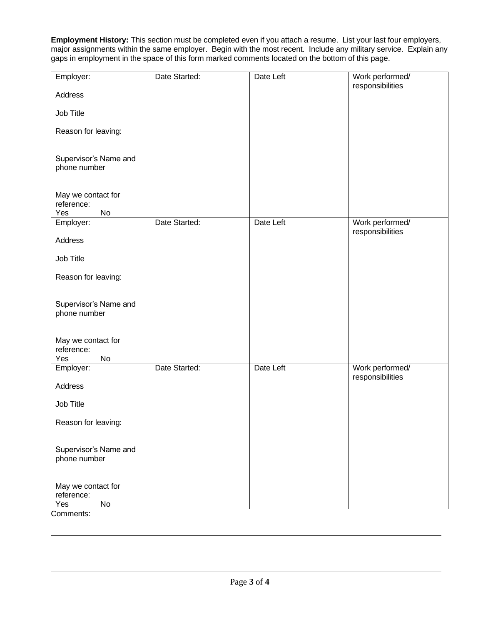**Employment History:** This section must be completed even if you attach a resume. List your last four employers, major assignments within the same employer. Begin with the most recent. Include any military service. Explain any gaps in employment in the space of this form marked comments located on the bottom of this page.

| Employer:                                                | Date Started: | Date Left | Work performed/                     |
|----------------------------------------------------------|---------------|-----------|-------------------------------------|
| Address                                                  |               |           | responsibilities                    |
| Job Title                                                |               |           |                                     |
| Reason for leaving:                                      |               |           |                                     |
| Supervisor's Name and<br>phone number                    |               |           |                                     |
| May we contact for<br>reference:<br>Yes<br>No            |               |           |                                     |
| Employer:                                                | Date Started: | Date Left | Work performed/<br>responsibilities |
| Address                                                  |               |           |                                     |
| Job Title                                                |               |           |                                     |
| Reason for leaving:                                      |               |           |                                     |
| Supervisor's Name and<br>phone number                    |               |           |                                     |
| May we contact for<br>reference:<br>Yes<br>No            |               |           |                                     |
| Employer:                                                | Date Started: | Date Left | Work performed/<br>responsibilities |
| Address                                                  |               |           |                                     |
| Job Title                                                |               |           |                                     |
| Reason for leaving:                                      |               |           |                                     |
| Supervisor's Name and<br>phone number                    |               |           |                                     |
| May we contact for<br>reference:<br>$\mathsf{No}$<br>Yes |               |           |                                     |

Comments: